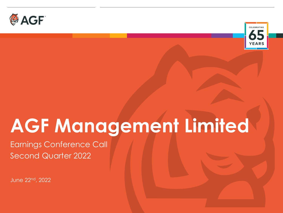



# **AGF Management Limited**

Earnings Conference Call Second Quarter 2022

June 22nd, 2022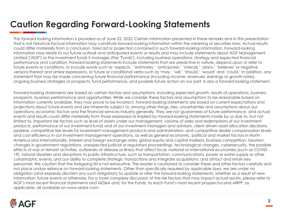# **Caution Regarding Forward-Looking Statements**

The forward looking information is provided as of June 22, 2022. Certain information presented in these remarks and in this presentation that is not historical factual information may constitute forward-looking information within the meaning of securities laws. Actual results could differ materially from a conclusion, forecast or projection contained in such forward-looking information. Forward-looking information may relate to our future outlook and anticipated events or results and may include statements about AGF Management Limited ("AGF") or the investment funds it manages (the "Funds"), including business operations, strategy and expected financial performance and condition. Forward-looking statements include statements that are predictive in nature, depend upon or refer to future events or conditions, or include words such as 'expects,' 'estimates,' 'anticipates,' 'intends,' 'plans,' 'believes' or negative versions thereof and similar expressions, or future or conditional verbs such as 'may,' 'will,' 'should,' 'would' and 'could.' In addition, any statement that may be made concerning future financial performance (including income, revenues, earnings or growth rates), ongoing business strategies or prospects, fund performance, and possible future action on our part, is also a forward-looking statement.

Forward-looking statements are based on certain factors and assumptions, including expected growth, results of operations, business prospects, business performance and opportunities. While we consider these factors and assumptions to be reasonable based on information currently available, they may prove to be incorrect. Forward-looking statements are based on current expectations and projections about future events and are inherently subject to, among other things, risks, uncertainties and assumptions about our operations, economic factors and the financial services industry generally. They are not guarantees of future performance, and actual events and results could differ materially from those expressed or implied by forward-looking statements made by us due to, but not limited to, important risk factors such as level of assets under our management, volume of sales and redemptions of our investment products, performance of our investment funds and of our investment managers and advisors, client-driven asset allocation decisions, pipeline, competitive fee levels for investment management products and administration, and competitive dealer compensation levels and cost efficiency in our investment management operations, as well as general economic, political and market factors in North America and internationally, interest and foreign exchange rates, global equity and capital markets, business competition, taxation, changes in government regulations, unexpected judicial or regulatory proceedings, technological changes, cybersecurity, the possible effects of war or terrorist activities, outbreaks of disease or illness that affect local, national or international economies (such as COVID-19), natural disasters and disruptions to public infrastructure, such as transportation, communications, power or water supply or other catastrophic events, and our ability to complete strategic transactions and integrate acquisitions, and attract and retain key personnel. We caution that the foregoing list is not exhaustive. The reader is cautioned to consider these and other factors carefully and not place undue reliance on forward-looking statements. Other than specifically required by applicable laws, we are under no obligation (and expressly disclaim any such obligation) to update or alter the forward-looking statements, whether as a result of new information, future events or otherwise. For a more complete discussion of the risk factors that may impact actual results, please refer to AGF's most recent financial statements and MD&A and, for the Funds, to each Fund's most recent prospectus and MRFP, as applicable, all available on www.sedar.com.

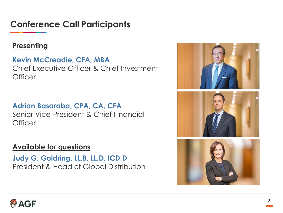# **Conference Call Participants**

#### **Presenting**

**Kevin McCreadie, CFA, MBA** Chief Executive Officer & Chief Investment **Officer** 

### **Adrian Basaraba, CPA, CA, CFA**

Senior Vice-President & Chief Financial **Officer** 

#### **Available for questions**

**Judy G. Goldring, LL.B, LL.D, ICD.D** President & Head of Global Distribution



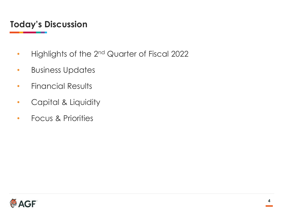# **Today's Discussion**

- Highlights of the 2<sup>nd</sup> Quarter of Fiscal 2022
- Business Updates
- Financial Results
- Capital & Liquidity
- Focus & Priorities

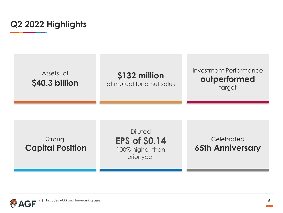## **Q2 2022 Highlights**

# Assets<sup>1</sup> of

**\$40.3 billion \$132 million** of mutual fund net sales Investment Performance **outperformed** target

#### Strong **Capital Position**

**Diluted EPS of \$0.14**  100% higher than prior year

### **Celebrated 65th Anniversary**

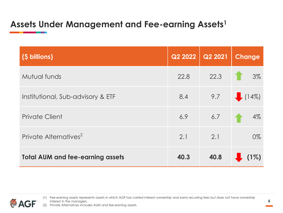# **Assets Under Management and Fee-earning Assets1**

| (\$ billions)                           | Q2 2022 | Q2 2021 | <b>Change</b> |
|-----------------------------------------|---------|---------|---------------|
| Mutual funds                            | 22.8    | 22.3    | 3%            |
| Institutional, Sub-advisory & ETF       | 8.4     | 9.7     | $(14\%)$      |
| <b>Private Client</b>                   | 6.9     | 6.7     | $4\%$         |
| Private Alternatives <sup>2</sup>       | 2.1     | 2.1     | 0%            |
| <b>Total AUM and fee-earning assets</b> | 40.3    | 40.8    | $1\%)$        |



(1) Fee-earning assets represents assets in which AGF has carried interest ownership and earns recurring fees but does not have ownership interest in the managers.

(2) Private Alternatives includes AUM and fee-earning assets.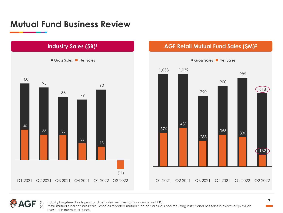# **Mutual Fund Business Review**







(1) Industry long-term funds gross and net sales per Investor Economics and IFIC.

(2) Retail mutual fund net sales calculated as reported mutual fund net sales less non-recurring institutional net sales in excess of \$5 million invested in our mutual funds.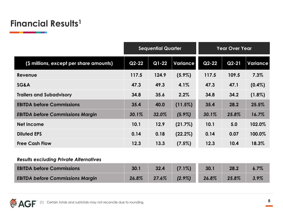# **Financial Results1**

|                                               | <b>Sequential Quarter</b> |           |                 | <b>Year Over Year</b> |           |                 |
|-----------------------------------------------|---------------------------|-----------|-----------------|-----------------------|-----------|-----------------|
| (\$ millions, except per share amounts)       | $Q2 - 22$                 | $Q1 - 22$ | <b>Variance</b> | $Q2 - 22$             | $Q2 - 21$ | <b>Variance</b> |
| Revenue                                       | 117.5                     | 124.9     | $(5.9\%)$       | 117.5                 | 109.5     | 7.3%            |
| SG&A                                          | 47.3                      | 49.3      | 4.1%            | 47.3                  | 47.1      | $(0.4\%)$       |
| <b>Trailers and Subadvisory</b>               | 34.8                      | 35.6      | $2.2\%$         | 34.8                  | 34.2      | $(1.8\%)$       |
| <b>EBITDA before Commissions</b>              | 35.4                      | 40.0      | $(11.5\%)$      | 35.4                  | 28.2      | 25.5%           |
| <b>EBITDA before Commissions Margin</b>       | 30.1%                     | 32.0%     | $(5.9\%)$       | 30.1%                 | 25.8%     | 16.7%           |
| Net Income                                    | 10.1                      | 12.9      | $(21.7\%)$      | 10.1                  | 5.0       | 102.0%          |
| <b>Diluted EPS</b>                            | 0.14                      | 0.18      | $(22.2\%)$      | 0.14                  | 0.07      | 100.0%          |
| <b>Free Cash Flow</b>                         | 12.3                      | 13.3      | $(7.5\%)$       | 12.3                  | 10.4      | 18.3%           |
| <b>Results excluding Private Alternatives</b> |                           |           |                 |                       |           |                 |
| <b>EBITDA before Commissions</b>              | 30.1                      | 32.4      | $(7.1\%)$       | 30.1                  | 28.2      | 6.7%            |
| <b>EBITDA before Commissions Margin</b>       | 26.8%                     | 27.6%     | $(2.9\%)$       | 26.8%                 | 25.8%     | 3.9%            |

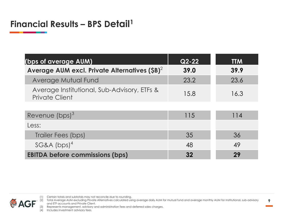# **Financial Results – BPS Detail1**

| (bps of average AUM)                                                 | $Q2 - 22$ | <b>TTM</b> |
|----------------------------------------------------------------------|-----------|------------|
| Average AUM excl. Private Alternatives $(SB)^2$                      | 39.0      | 39.9       |
| Average Mutual Fund                                                  | 23.2      | 23.6       |
| Average Institutional, Sub-Advisory, ETFs &<br><b>Private Client</b> | 15.8      | 16.3       |
|                                                                      |           |            |
| Revenue $(bps)^3$                                                    | 115       | 114        |
| Less:                                                                |           |            |
| Trailer Fees (bps)                                                   | 35        | 36         |
| SG8A (bps) <sup>4</sup>                                              | 48        | 49         |
| <b>EBITDA before commissions (bps)</b>                               | 32        | 29         |



- (1) Certain totals and subtotals may not reconcile due to rounding.
- (2) Total Average AUM excluding Private Alternatives calculated using average daily AUM for mutual fund and average monthly AUM for Institutional, sub-advisory and ETF accounts and Private Client.
- (3) Represents management, advisory and administration fees and deferred sales charges.

(4) Includes investment advisory fees.

**9**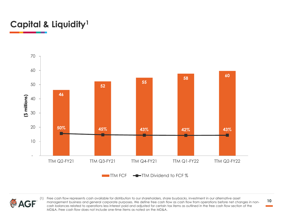# **Capital & Liquidity1**





(1) Free cash flow represents cash available for distribution to our shareholders, share buybacks, investment in our alternative asset management business and general corporate purposes. We define free cash flow as cash flow from operations before net changes in noncash balances related to operations less interest paid and adjusted for certain tax items as outlined in the free cash flow section of the MD&A. Free cash flow does not include one-time items as noted on the MD&A.

**10**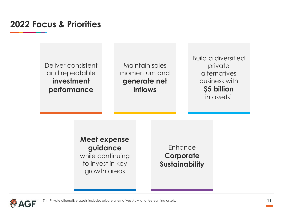### **2022 Focus & Priorities**

Deliver consistent and repeatable **investment performance**

Maintain sales momentum and **generate net inflows**

Build a diversified private alternatives business with **\$5 billion** in assets<sup>1</sup>

**Meet expense guidance**  while continuing to invest in key growth areas

#### Enhance **Corporate Sustainability**